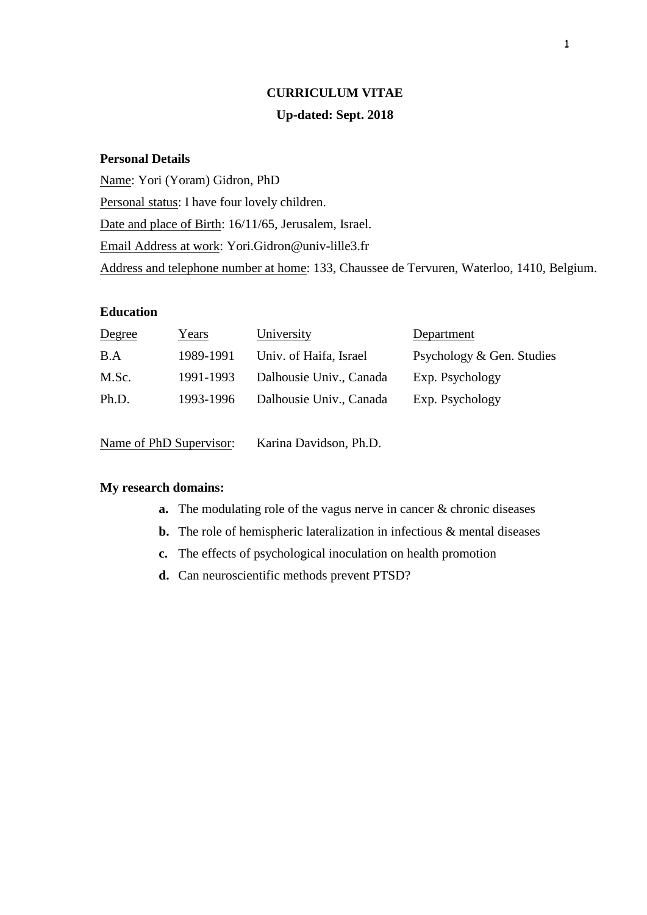# **CURRICULUM VITAE Up-dated: Sept. 2018**

## **Personal Details**

Name: Yori (Yoram) Gidron, PhD Personal status: I have four lovely children. Date and place of Birth: 16/11/65, Jerusalem, Israel. Email Address at work: Yori.Gidron@univ-lille3.fr Address and telephone number at home: 133, Chaussee de Tervuren, Waterloo, 1410, Belgium.

## **Education**

| Degree | Years     | University              | Department                |
|--------|-----------|-------------------------|---------------------------|
| B.A    | 1989-1991 | Univ. of Haifa, Israel  | Psychology & Gen. Studies |
| M.Sc.  | 1991-1993 | Dalhousie Univ., Canada | Exp. Psychology           |
| Ph.D.  | 1993-1996 | Dalhousie Univ., Canada | Exp. Psychology           |
|        |           |                         |                           |

Name of PhD Supervisor: Karina Davidson, Ph.D.

#### **My research domains:**

- **a.** The modulating role of the vagus nerve in cancer & chronic diseases
- **b.** The role of hemispheric lateralization in infectious & mental diseases
- **c.** The effects of psychological inoculation on health promotion
- **d.** Can neuroscientific methods prevent PTSD?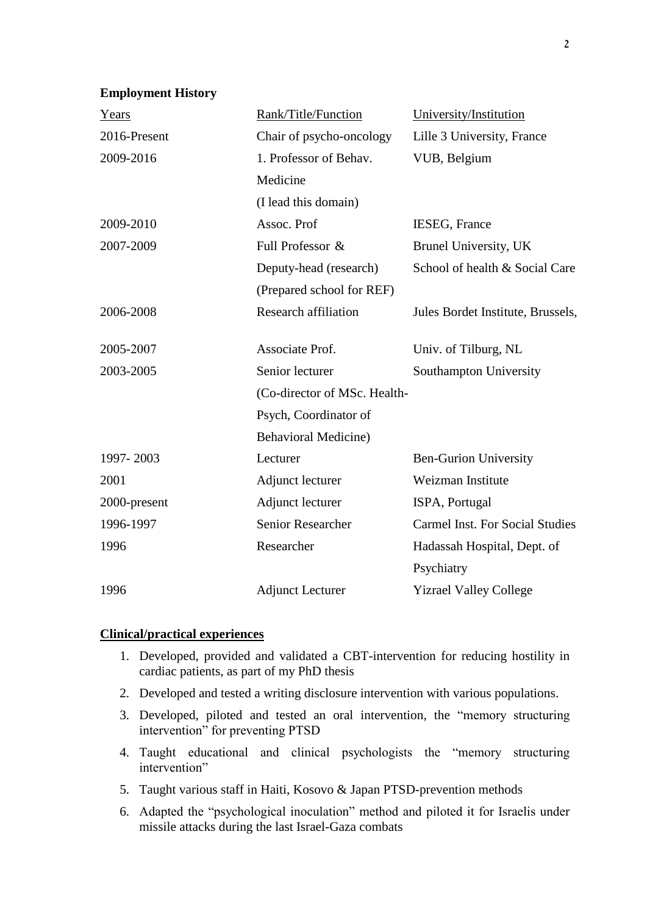#### **Employment History**

| Years        | Rank/Title/Function          | University/Institution                 |
|--------------|------------------------------|----------------------------------------|
| 2016-Present | Chair of psycho-oncology     | Lille 3 University, France             |
| 2009-2016    | 1. Professor of Behav.       | VUB, Belgium                           |
|              | Medicine                     |                                        |
|              | (I lead this domain)         |                                        |
| 2009-2010    | Assoc. Prof                  | <b>IESEG, France</b>                   |
| 2007-2009    | Full Professor &             | Brunel University, UK                  |
|              | Deputy-head (research)       | School of health & Social Care         |
|              | (Prepared school for REF)    |                                        |
| 2006-2008    | <b>Research affiliation</b>  | Jules Bordet Institute, Brussels,      |
| 2005-2007    | Associate Prof.              | Univ. of Tilburg, NL                   |
| 2003-2005    | Senior lecturer              | Southampton University                 |
|              | (Co-director of MSc. Health- |                                        |
|              | Psych, Coordinator of        |                                        |
|              | <b>Behavioral Medicine)</b>  |                                        |
| 1997-2003    | Lecturer                     | <b>Ben-Gurion University</b>           |
| 2001         | Adjunct lecturer             | Weizman Institute                      |
| 2000-present | Adjunct lecturer             | ISPA, Portugal                         |
| 1996-1997    | <b>Senior Researcher</b>     | <b>Carmel Inst. For Social Studies</b> |
| 1996         | Researcher                   | Hadassah Hospital, Dept. of            |
|              |                              | Psychiatry                             |
| 1996         | <b>Adjunct Lecturer</b>      | <b>Yizrael Valley College</b>          |

#### **Clinical/practical experiences**

- 1. Developed, provided and validated a CBT-intervention for reducing hostility in cardiac patients, as part of my PhD thesis
- 2. Developed and tested a writing disclosure intervention with various populations.
- 3. Developed, piloted and tested an oral intervention, the "memory structuring intervention" for preventing PTSD
- 4. Taught educational and clinical psychologists the "memory structuring intervention"
- 5. Taught various staff in Haiti, Kosovo & Japan PTSD-prevention methods
- 6. Adapted the "psychological inoculation" method and piloted it for Israelis under missile attacks during the last Israel-Gaza combats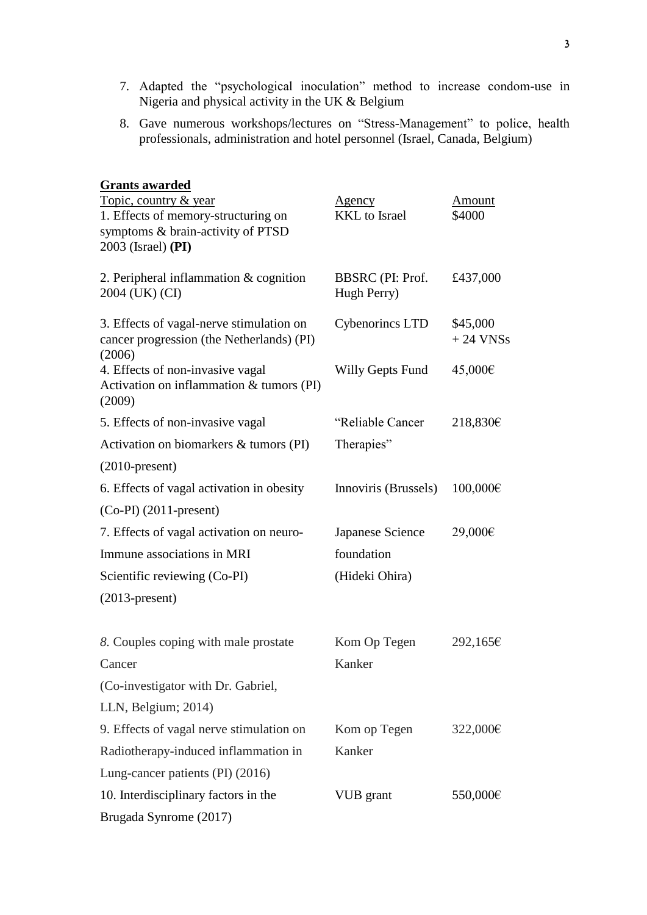- 7. Adapted the "psychological inoculation" method to increase condom-use in Nigeria and physical activity in the UK & Belgium
- 8. Gave numerous workshops/lectures on "Stress-Management" to police, health professionals, administration and hotel personnel (Israel, Canada, Belgium)

| <b>Grants awarded</b>                                                                            |                      |                        |
|--------------------------------------------------------------------------------------------------|----------------------|------------------------|
| Topic, country & year                                                                            | <u>Agency</u>        | <u>Amount</u>          |
| 1. Effects of memory-structuring on                                                              | <b>KKL</b> to Israel | \$4000                 |
| symptoms & brain-activity of PTSD<br>2003 (Israel) (PI)                                          |                      |                        |
|                                                                                                  |                      |                        |
| 2. Peripheral inflammation $&$ cognition                                                         | BBSRC (PI: Prof.     | £437,000               |
| 2004 (UK) (CI)                                                                                   | Hugh Perry)          |                        |
| 3. Effects of vagal-nerve stimulation on<br>cancer progression (the Netherlands) (PI)            | Cybenorincs LTD      | \$45,000<br>$+24$ VNSs |
| (2006)<br>4. Effects of non-invasive vagal<br>Activation on inflammation & tumors (PI)<br>(2009) | Willy Gepts Fund     | 45,000€                |
| 5. Effects of non-invasive vagal                                                                 | "Reliable Cancer     | 218,830€               |
| Activation on biomarkers & tumors (PI)                                                           | Therapies"           |                        |
| $(2010$ -present)                                                                                |                      |                        |
| 6. Effects of vagal activation in obesity                                                        | Innoviris (Brussels) | 100,000€               |
| $(Co-PI)$ (2011-present)                                                                         |                      |                        |
| 7. Effects of vagal activation on neuro-                                                         | Japanese Science     | 29,000€                |
| Immune associations in MRI                                                                       | foundation           |                        |
| Scientific reviewing (Co-PI)                                                                     | (Hideki Ohira)       |                        |
| $(2013$ -present)                                                                                |                      |                        |
| 8. Couples coping with male prostate                                                             | Kom Op Tegen         | $292,165 \in$          |
| Cancer                                                                                           | Kanker               |                        |
| (Co-investigator with Dr. Gabriel,                                                               |                      |                        |
| LLN, Belgium; 2014)                                                                              |                      |                        |
| 9. Effects of vagal nerve stimulation on                                                         | Kom op Tegen         | 322,000€               |
| Radiotherapy-induced inflammation in                                                             | Kanker               |                        |
| Lung-cancer patients (PI) (2016)                                                                 |                      |                        |
| 10. Interdisciplinary factors in the                                                             | VUB grant            | 550,000€               |
| Brugada Synrome (2017)                                                                           |                      |                        |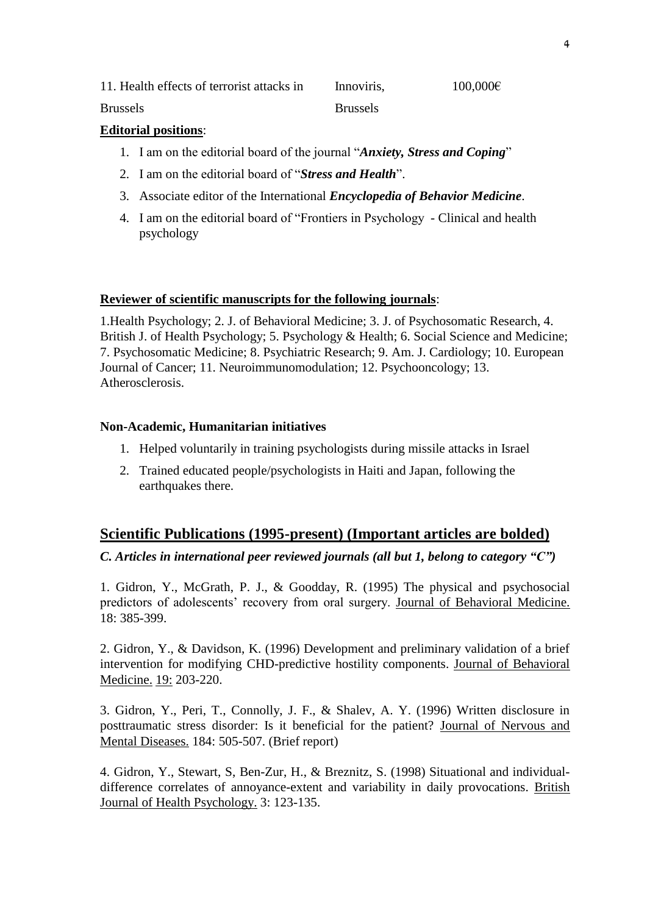11. Health effects of terrorist attacks in Innoviris,  $100,000 \in$ 

Brussels Brussels

## **Editorial positions**:

- 1. I am on the editorial board of the journal "*Anxiety, Stress and Coping*"
- 2. I am on the editorial board of "*Stress and Health*".
- 3. Associate editor of the International *Encyclopedia of Behavior Medicine*.
- 4. I am on the editorial board of "Frontiers in Psychology Clinical and health psychology

#### **Reviewer of scientific manuscripts for the following journals**:

1.Health Psychology; 2. J. of Behavioral Medicine; 3. J. of Psychosomatic Research, 4. British J. of Health Psychology; 5. Psychology & Health; 6. Social Science and Medicine; 7. Psychosomatic Medicine; 8. Psychiatric Research; 9. Am. J. Cardiology; 10. European Journal of Cancer; 11. Neuroimmunomodulation; 12. Psychooncology; 13. Atherosclerosis.

#### **Non-Academic, Humanitarian initiatives**

- 1. Helped voluntarily in training psychologists during missile attacks in Israel
- 2. Trained educated people/psychologists in Haiti and Japan, following the earthquakes there.

# **Scientific Publications (1995-present) (Important articles are bolded)**

# *C. Articles in international peer reviewed journals (all but 1, belong to category "C")*

1. Gidron, Y., McGrath, P. J., & Goodday, R. (1995) The physical and psychosocial predictors of adolescents' recovery from oral surgery. Journal of Behavioral Medicine. 18: 385-399.

2. Gidron, Y., & Davidson, K. (1996) Development and preliminary validation of a brief intervention for modifying CHD-predictive hostility components. Journal of Behavioral Medicine. 19: 203-220.

3. Gidron, Y., Peri, T., Connolly, J. F., & Shalev, A. Y. (1996) Written disclosure in posttraumatic stress disorder: Is it beneficial for the patient? Journal of Nervous and Mental Diseases. 184: 505-507. (Brief report)

4. Gidron, Y., Stewart, S, Ben-Zur, H., & Breznitz, S. (1998) Situational and individualdifference correlates of annoyance-extent and variability in daily provocations. British Journal of Health Psychology. 3: 123-135.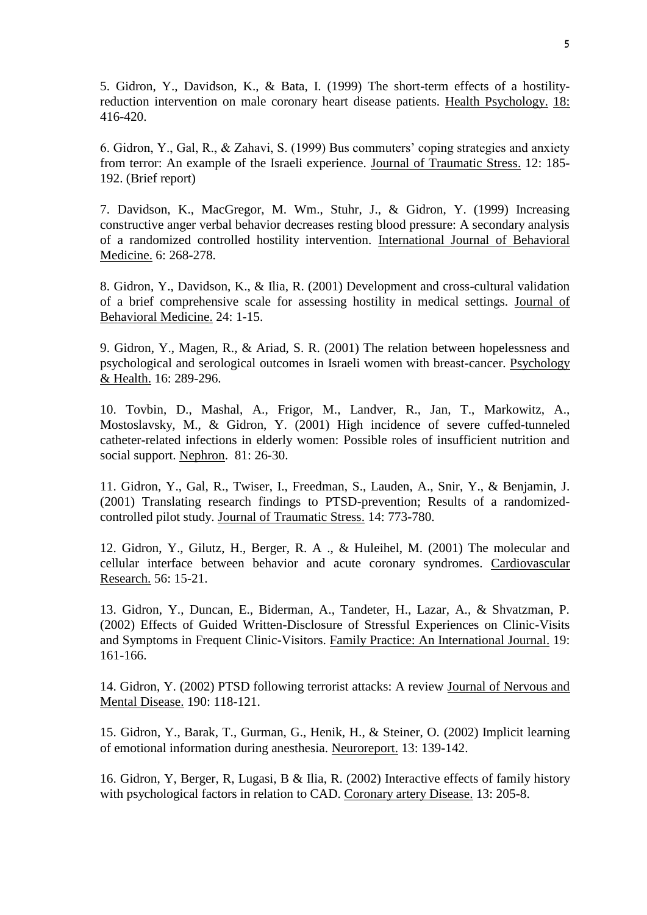5. Gidron, Y., Davidson, K., & Bata, I. (1999) The short-term effects of a hostilityreduction intervention on male coronary heart disease patients. Health Psychology. 18: 416-420.

6. Gidron, Y., Gal, R., & Zahavi, S. (1999) Bus commuters' coping strategies and anxiety from terror: An example of the Israeli experience. Journal of Traumatic Stress. 12: 185- 192. (Brief report)

7. Davidson, K., MacGregor, M. Wm., Stuhr, J., & Gidron, Y. (1999) Increasing constructive anger verbal behavior decreases resting blood pressure: A secondary analysis of a randomized controlled hostility intervention. International Journal of Behavioral Medicine. 6: 268-278.

8. Gidron, Y., Davidson, K., & Ilia, R. (2001) Development and cross-cultural validation of a brief comprehensive scale for assessing hostility in medical settings. Journal of Behavioral Medicine. 24: 1-15.

9. Gidron, Y., Magen, R., & Ariad, S. R. (2001) The relation between hopelessness and psychological and serological outcomes in Israeli women with breast-cancer. Psychology & Health. 16: 289-296.

10. Tovbin, D., Mashal, A., Frigor, M., Landver, R., Jan, T., Markowitz, A., Mostoslavsky, M., & Gidron, Y. (2001) High incidence of severe cuffed-tunneled catheter-related infections in elderly women: Possible roles of insufficient nutrition and social support. Nephron. 81: 26-30.

11. Gidron, Y., Gal, R., Twiser, I., Freedman, S., Lauden, A., Snir, Y., & Benjamin, J. (2001) Translating research findings to PTSD-prevention; Results of a randomizedcontrolled pilot study. Journal of Traumatic Stress. 14: 773-780.

12. Gidron, Y., Gilutz, H., Berger, R. A ., & Huleihel, M. (2001) The molecular and cellular interface between behavior and acute coronary syndromes. Cardiovascular Research. 56: 15-21.

13. Gidron, Y., Duncan, E., Biderman, A., Tandeter, H., Lazar, A., & Shvatzman, P. (2002) Effects of Guided Written-Disclosure of Stressful Experiences on Clinic-Visits and Symptoms in Frequent Clinic-Visitors. Family Practice: An International Journal. 19: 161-166.

14. Gidron, Y. (2002) PTSD following terrorist attacks: A review Journal of Nervous and Mental Disease. 190: 118-121.

15. Gidron, Y., Barak, T., Gurman, G., Henik, H., & Steiner, O. (2002) Implicit learning of emotional information during anesthesia. Neuroreport. 13: 139-142.

16. Gidron, Y, Berger, R, Lugasi, B & Ilia, R. (2002) Interactive effects of family history with psychological factors in relation to CAD. Coronary artery Disease. 13: 205-8.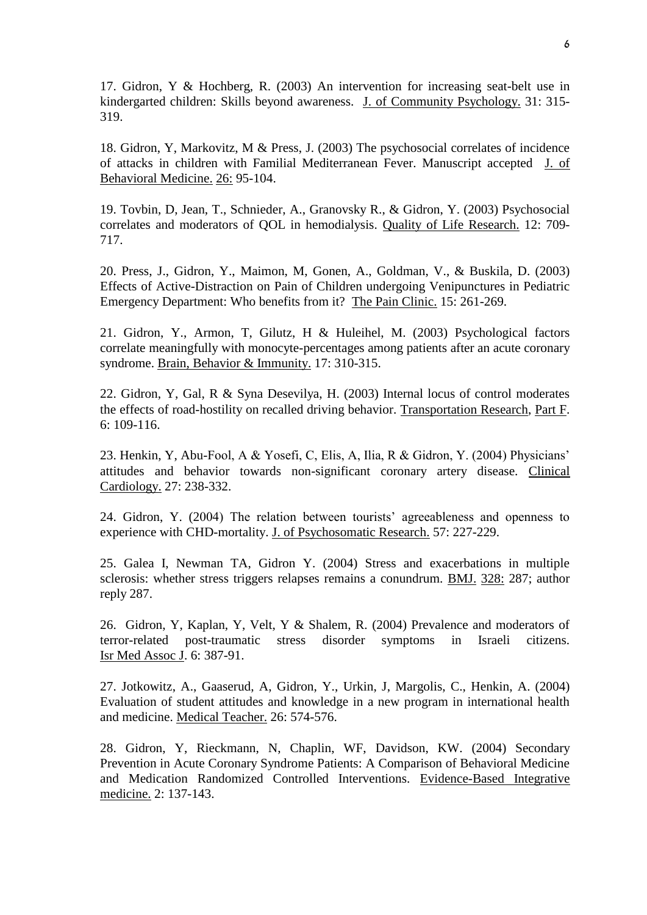17. Gidron, Y & Hochberg, R. (2003) An intervention for increasing seat-belt use in kindergarted children: Skills beyond awareness. J. of Community Psychology. 31: 315- 319.

18. Gidron, Y, Markovitz, M & Press, J. (2003) The psychosocial correlates of incidence of attacks in children with Familial Mediterranean Fever. Manuscript accepted J. of Behavioral Medicine. 26: 95-104.

19. Tovbin, D, Jean, T., Schnieder, A., Granovsky R., & Gidron, Y. (2003) Psychosocial correlates and moderators of QOL in hemodialysis. Quality of Life Research. 12: 709- 717.

20. Press, J., Gidron, Y., Maimon, M, Gonen, A., Goldman, V., & Buskila, D. (2003) Effects of Active-Distraction on Pain of Children undergoing Venipunctures in Pediatric Emergency Department: Who benefits from it? The Pain Clinic. 15: 261-269.

21. Gidron, Y., Armon, T, Gilutz, H & Huleihel, M. (2003) Psychological factors correlate meaningfully with monocyte-percentages among patients after an acute coronary syndrome. Brain, Behavior & Immunity. 17: 310-315.

22. Gidron, Y, Gal, R & Syna Desevilya, H. (2003) Internal locus of control moderates the effects of road-hostility on recalled driving behavior. Transportation Research, Part F. 6: 109-116.

23. Henkin, Y, Abu-Fool, A & Yosefi, C, Elis, A, Ilia, R & Gidron, Y. (2004) Physicians' attitudes and behavior towards non-significant coronary artery disease. Clinical Cardiology. 27: 238-332.

24. Gidron, Y. (2004) The relation between tourists' agreeableness and openness to experience with CHD-mortality. J. of Psychosomatic Research. 57: 227-229.

25. Galea I, Newman TA, Gidron Y. (2004) Stress and exacerbations in multiple sclerosis: whether stress triggers relapses remains a conundrum. BMJ. 328: 287; author reply 287.

26. Gidron, Y, Kaplan, Y, Velt, Y & Shalem, R. (2004) Prevalence and moderators of terror-related post-traumatic stress disorder symptoms in Israeli citizens. Isr Med Assoc J. 6: 387-91.

27. Jotkowitz, A., Gaaserud, A, Gidron, Y., Urkin, J, Margolis, C., Henkin, A. (2004) Evaluation of student attitudes and knowledge in a new program in international health and medicine. Medical Teacher. 26: 574-576.

28. Gidron, Y, Rieckmann, N, Chaplin, WF, Davidson, KW. (2004) Secondary Prevention in Acute Coronary Syndrome Patients: A Comparison of Behavioral Medicine and Medication Randomized Controlled Interventions. Evidence-Based Integrative medicine. 2: 137-143.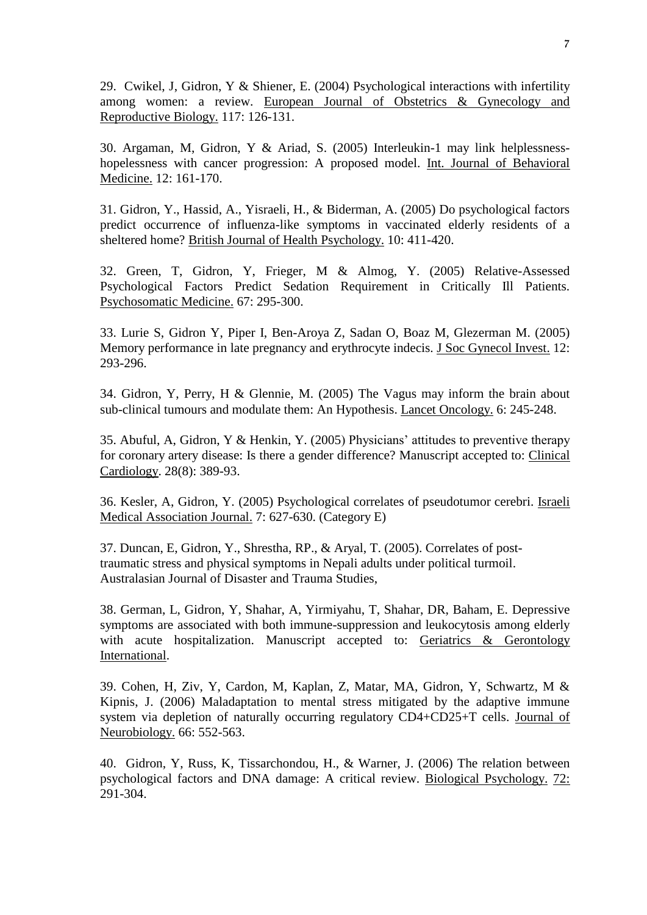29. Cwikel, J, Gidron, Y & Shiener, E. (2004) Psychological interactions with infertility among women: a review. European Journal of Obstetrics & Gynecology and Reproductive Biology. 117: 126-131.

30. Argaman, M, Gidron, Y & Ariad, S. (2005) Interleukin-1 may link helplessnesshopelessness with cancer progression: A proposed model. Int. Journal of Behavioral Medicine. 12: 161-170.

31. Gidron, Y., Hassid, A., Yisraeli, H., & Biderman, A. (2005) Do psychological factors predict occurrence of influenza-like symptoms in vaccinated elderly residents of a sheltered home? British Journal of Health Psychology. 10: 411-420.

32. Green, T, Gidron, Y, Frieger, M & Almog, Y. (2005) Relative-Assessed Psychological Factors Predict Sedation Requirement in Critically Ill Patients. Psychosomatic Medicine. 67: 295-300.

33. Lurie S, Gidron Y, Piper I, Ben-Aroya Z, Sadan O, Boaz M, Glezerman M. (2005) Memory performance in late pregnancy and erythrocyte indecis. J Soc Gynecol Invest. 12: 293-296.

34. Gidron, Y, Perry, H & Glennie, M. (2005) The Vagus may inform the brain about sub-clinical tumours and modulate them: An Hypothesis. Lancet Oncology. 6: 245-248.

35. Abuful, A, Gidron, Y & Henkin, Y. (2005) Physicians' attitudes to preventive therapy for coronary artery disease: Is there a gender difference? Manuscript accepted to: Clinical Cardiology. 28(8): 389-93.

36. Kesler, A, Gidron, Y. (2005) Psychological correlates of pseudotumor cerebri. Israeli Medical Association Journal. 7: 627-630. (Category E)

37. Duncan, E, Gidron, Y., Shrestha, RP., & Aryal, T. (2005). Correlates of posttraumatic stress and physical symptoms in Nepali adults under political turmoil. Australasian Journal of Disaster and Trauma Studies,

38. German, L, Gidron, Y, Shahar, A, Yirmiyahu, T, Shahar, DR, Baham, E. Depressive symptoms are associated with both immune-suppression and leukocytosis among elderly with acute hospitalization. Manuscript accepted to: Geriatrics & Gerontology International.

39. Cohen, H, Ziv, Y, Cardon, M, Kaplan, Z, Matar, MA, Gidron, Y, Schwartz, M & Kipnis, J. (2006) Maladaptation to mental stress mitigated by the adaptive immune system via depletion of naturally occurring regulatory CD4+CD25+T cells. Journal of Neurobiology. 66: 552-563.

40. Gidron, Y, Russ, K, Tissarchondou, H., & Warner, J. (2006) The relation between psychological factors and DNA damage: A critical review. Biological Psychology. 72: 291-304.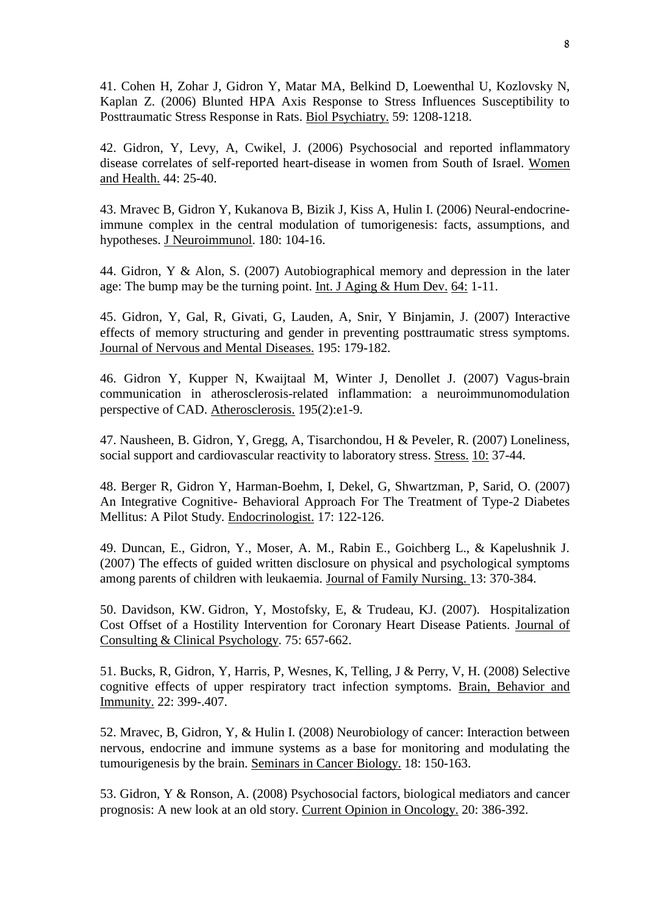41. [Cohen H,](http://www.ncbi.nlm.nih.gov/entrez/query.fcgi?db=pubmed&cmd=Search&itool=pubmed_Abstract&term=%22Cohen+H%22%5BAuthor%5D) [Zohar J,](http://www.ncbi.nlm.nih.gov/entrez/query.fcgi?db=pubmed&cmd=Search&itool=pubmed_Abstract&term=%22Zohar+J%22%5BAuthor%5D) [Gidron Y,](http://www.ncbi.nlm.nih.gov/entrez/query.fcgi?db=pubmed&cmd=Search&itool=pubmed_Abstract&term=%22Gidron+Y%22%5BAuthor%5D) [Matar MA,](http://www.ncbi.nlm.nih.gov/entrez/query.fcgi?db=pubmed&cmd=Search&itool=pubmed_Abstract&term=%22Matar+MA%22%5BAuthor%5D) [Belkind D,](http://www.ncbi.nlm.nih.gov/entrez/query.fcgi?db=pubmed&cmd=Search&itool=pubmed_Abstract&term=%22Belkind+D%22%5BAuthor%5D) [Loewenthal U,](http://www.ncbi.nlm.nih.gov/entrez/query.fcgi?db=pubmed&cmd=Search&itool=pubmed_Abstract&term=%22Loewenthal+U%22%5BAuthor%5D) [Kozlovsky N,](http://www.ncbi.nlm.nih.gov/entrez/query.fcgi?db=pubmed&cmd=Search&itool=pubmed_Abstract&term=%22Kozlovsky+N%22%5BAuthor%5D) [Kaplan Z.](http://www.ncbi.nlm.nih.gov/entrez/query.fcgi?db=pubmed&cmd=Search&itool=pubmed_Abstract&term=%22Kaplan+Z%22%5BAuthor%5D) (2006) Blunted HPA Axis Response to Stress Influences Susceptibility to Posttraumatic Stress Response in Rats. Biol Psychiatry. 59: 1208-1218.

42. Gidron, Y, Levy, A, Cwikel, J. (2006) Psychosocial and reported inflammatory disease correlates of self-reported heart-disease in women from South of Israel. Women and Health. 44: 25-40.

43. [Mravec B,](http://www.ncbi.nlm.nih.gov/entrez/query.fcgi?db=pubmed&cmd=Search&itool=pubmed_AbstractPlus&term=%22Mravec+B%22%5BAuthor%5D) [Gidron Y,](http://www.ncbi.nlm.nih.gov/entrez/query.fcgi?db=pubmed&cmd=Search&itool=pubmed_AbstractPlus&term=%22Gidron+Y%22%5BAuthor%5D) [Kukanova B,](http://www.ncbi.nlm.nih.gov/entrez/query.fcgi?db=pubmed&cmd=Search&itool=pubmed_AbstractPlus&term=%22Kukanova+B%22%5BAuthor%5D) [Bizik J,](http://www.ncbi.nlm.nih.gov/entrez/query.fcgi?db=pubmed&cmd=Search&itool=pubmed_AbstractPlus&term=%22Bizik+J%22%5BAuthor%5D) [Kiss A,](http://www.ncbi.nlm.nih.gov/entrez/query.fcgi?db=pubmed&cmd=Search&itool=pubmed_AbstractPlus&term=%22Kiss+A%22%5BAuthor%5D) [Hulin I.](http://www.ncbi.nlm.nih.gov/entrez/query.fcgi?db=pubmed&cmd=Search&itool=pubmed_AbstractPlus&term=%22Hulin+I%22%5BAuthor%5D) (2006) Neural-endocrineimmune complex in the central modulation of tumorigenesis: facts, assumptions, and hypotheses. J Neuroimmunol. 180: 104-16.

44. Gidron, Y & Alon, S. (2007) Autobiographical memory and depression in the later age: The bump may be the turning point. Int. J Aging & Hum Dev. 64: 1-11.

45. Gidron, Y, Gal, R, Givati, G, Lauden, A, Snir, Y Binjamin, J. (2007) Interactive effects of memory structuring and gender in preventing posttraumatic stress symptoms. Journal of Nervous and Mental Diseases. 195: 179-182.

46. Gidron Y, Kupper N, Kwaijtaal M, Winter J, Denollet J. (2007) Vagus-brain communication in atherosclerosis-related inflammation: a neuroimmunomodulation perspective of CAD. Atherosclerosis. 195(2):e1-9.

47. Nausheen, B. Gidron, Y, Gregg, A, Tisarchondou, H & Peveler, R. (2007) Loneliness, social support and cardiovascular reactivity to laboratory stress. Stress. 10: 37-44.

48. Berger R, Gidron Y, Harman-Boehm, I, Dekel, G, Shwartzman, P, Sarid, O. (2007) An Integrative Cognitive- Behavioral Approach For The Treatment of Type-2 Diabetes Mellitus: A Pilot Study. Endocrinologist. 17: 122-126.

49. Duncan, E., Gidron, Y., Moser, A. M., Rabin E., Goichberg L., & Kapelushnik J. (2007) The effects of guided written disclosure on physical and psychological symptoms among parents of children with leukaemia. Journal of Family Nursing. 13: 370-384.

50. [Davidson, KW.](http://www.eric.ed.gov/ERICWebPortal/Home.portal?_nfpb=true&_pageLabel=ERICSearchResult&_urlType=action&newSearch=true&ERICExtSearch_SearchType_0=au&ERICExtSearch_SearchValue_0=%22Davidson+Karina+W.%22) [Gidron, Y,](http://www.eric.ed.gov/ERICWebPortal/Home.portal?_nfpb=true&_pageLabel=ERICSearchResult&_urlType=action&newSearch=true&ERICExtSearch_SearchType_0=au&ERICExtSearch_SearchValue_0=%22Gidron+Yori%22) [Mostofsky, E,](http://www.eric.ed.gov/ERICWebPortal/Home.portal?_nfpb=true&_pageLabel=ERICSearchResult&_urlType=action&newSearch=true&ERICExtSearch_SearchType_0=au&ERICExtSearch_SearchValue_0=%22Mostofsky+Elizabeth%22) & [Trudeau, KJ.](http://www.eric.ed.gov/ERICWebPortal/Home.portal?_nfpb=true&_pageLabel=ERICSearchResult&_urlType=action&newSearch=true&ERICExtSearch_SearchType_0=au&ERICExtSearch_SearchValue_0=%22Trudeau+Kimberlee+J.%22) (2007). Hospitalization Cost Offset of a Hostility Intervention for Coronary Heart Disease Patients. Journal of Consulting & Clinical Psychology. 75: 657-662.

51. Bucks, R, Gidron, Y, Harris, P, Wesnes, K, Telling, J & Perry, V, H. (2008) Selective cognitive effects of upper respiratory tract infection symptoms. Brain, Behavior and Immunity. 22: 399-.407.

52. Mravec, B, Gidron, Y, & Hulin I. (2008) Neurobiology of cancer: Interaction between nervous, endocrine and immune systems as a base for monitoring and modulating the tumourigenesis by the brain. Seminars in Cancer Biology. 18: 150-163.

53. Gidron, Y & Ronson, A. (2008) Psychosocial factors, biological mediators and cancer prognosis: A new look at an old story. Current Opinion in Oncology. 20: 386-392.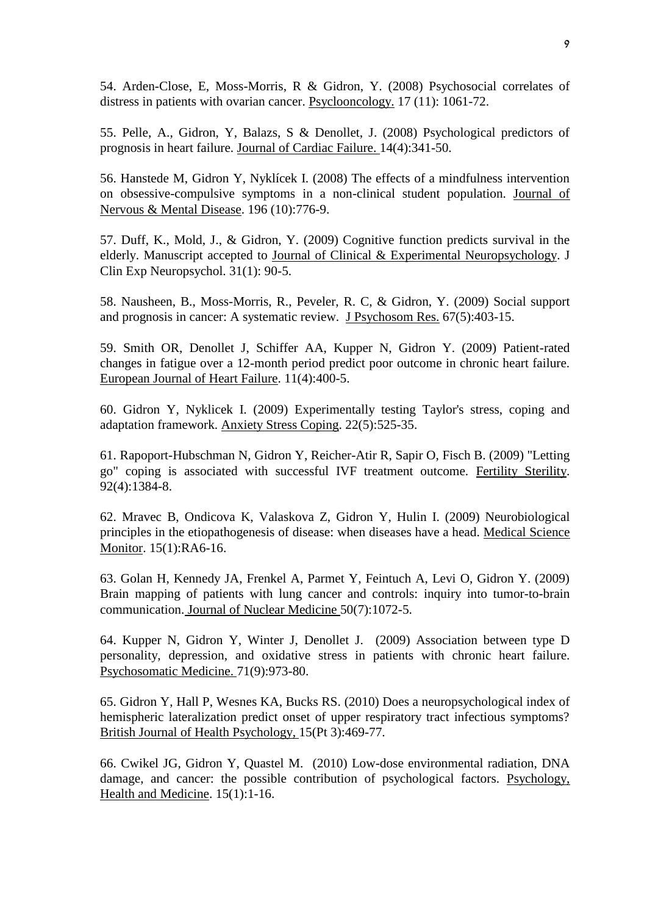54. Arden-Close, E, Moss-Morris, R & Gidron, Y. (2008) Psychosocial correlates of distress in patients with ovarian cancer. Psyclooncology. 17 (11): 1061-72.

55. Pelle, A., Gidron, Y, Balazs, S & Denollet, J. (2008) Psychological predictors of prognosis in heart failure. Journal of Cardiac Failure. 14(4):341-50.

56. Hanstede M, Gidron Y, Nyklícek I. (2008) The effects of a mindfulness intervention on obsessive-compulsive symptoms in a non-clinical student population. Journal of Nervous & Mental Disease. 196 (10):776-9.

57. Duff, K., Mold, J., & Gidron, Y. (2009) Cognitive function predicts survival in the elderly. Manuscript accepted to Journal of Clinical & Experimental Neuropsychology. J Clin Exp Neuropsychol. 31(1): 90-5.

58. Nausheen, B., Moss-Morris, R., Peveler, R. C, & Gidron, Y. (2009) Social support and prognosis in cancer: A systematic review. J Psychosom Res. 67(5):403-15.

59. Smith OR, Denollet J, Schiffer AA, Kupper N, Gidron Y. (2009) Patient-rated changes in fatigue over a 12-month period predict poor outcome in chronic heart failure. European Journal of Heart Failure. 11(4):400-5.

60. Gidron Y, Nyklicek I. (2009) Experimentally testing Taylor's stress, coping and adaptation framework. Anxiety Stress Coping. 22(5):525-35.

61. Rapoport-Hubschman N, Gidron Y, Reicher-Atir R, Sapir O, Fisch B. (2009) "Letting go" coping is associated with successful IVF treatment outcome. Fertility Sterility. 92(4):1384-8.

62. Mravec B, Ondicova K, Valaskova Z, Gidron Y, Hulin I. (2009) Neurobiological principles in the etiopathogenesis of disease: when diseases have a head. Medical Science Monitor. 15(1):RA6-16.

63. Golan H, Kennedy JA, Frenkel A, Parmet Y, Feintuch A, Levi O, Gidron Y. (2009) Brain mapping of patients with lung cancer and controls: inquiry into tumor-to-brain communication. Journal of Nuclear Medicine 50(7):1072-5.

64. Kupper N, Gidron Y, Winter J, Denollet J. (2009) Association between type D personality, depression, and oxidative stress in patients with chronic heart failure. Psychosomatic Medicine. 71(9):973-80.

65. Gidron Y, Hall P, Wesnes KA, Bucks RS. (2010) Does a neuropsychological index of hemispheric lateralization predict onset of upper respiratory tract infectious symptoms? British Journal of Health Psychology, 15(Pt 3):469-77.

66. Cwikel JG, Gidron Y, Quastel M. (2010) Low-dose environmental radiation, DNA damage, and cancer: the possible contribution of psychological factors. Psychology, Health and Medicine. 15(1):1-16.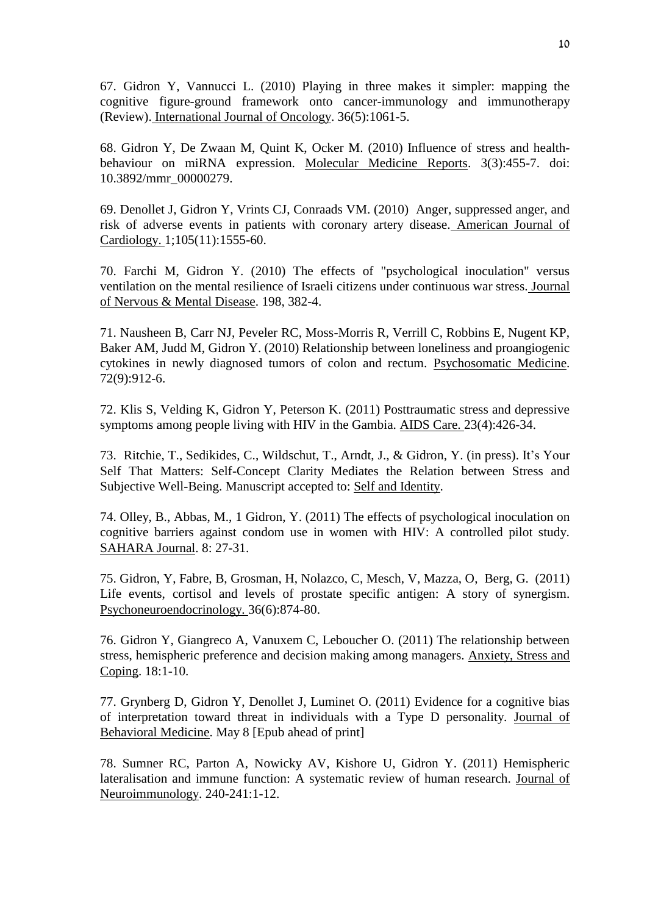67. Gidron Y, Vannucci L. (2010) Playing in three makes it simpler: mapping the cognitive figure-ground framework onto cancer-immunology and immunotherapy (Review). International Journal of Oncology. 36(5):1061-5.

68. Gidron Y, De Zwaan M, Quint K, Ocker M. (2010) Influence of stress and healthbehaviour on miRNA expression. Molecular Medicine Reports. 3(3):455-7. doi: 10.3892/mmr\_00000279.

69. Denollet J, Gidron Y, Vrints CJ, Conraads VM. (2010) Anger, suppressed anger, and risk of adverse events in patients with coronary artery disease. American Journal of Cardiology. 1;105(11):1555-60.

70. Farchi M, Gidron Y. (2010) The effects of "psychological inoculation" versus ventilation on the mental resilience of Israeli citizens under continuous war stress. Journal of Nervous & Mental Disease. 198, 382-4.

71. Nausheen B, Carr NJ, Peveler RC, Moss-Morris R, Verrill C, Robbins E, Nugent KP, Baker AM, Judd M, Gidron Y. (2010) Relationship between loneliness and proangiogenic cytokines in newly diagnosed tumors of colon and rectum. Psychosomatic Medicine. 72(9):912-6.

72. Klis S, Velding K, Gidron Y, Peterson K. (2011) Posttraumatic stress and depressive symptoms among people living with HIV in the Gambia. AIDS Care. 23(4):426-34.

73. Ritchie, T., Sedikides, C., Wildschut, T., Arndt, J., & Gidron, Y. (in press). It's Your Self That Matters: Self-Concept Clarity Mediates the Relation between Stress and Subjective Well-Being. Manuscript accepted to: Self and Identity.

74. Olley, B., Abbas, M., 1 Gidron, Y. (2011) The effects of psychological inoculation on cognitive barriers against condom use in women with HIV: A controlled pilot study. SAHARA Journal. 8: 27-31.

75. Gidron, Y, Fabre, B, Grosman, H, Nolazco, C, Mesch, V, Mazza, O, Berg, G. (2011) Life events, cortisol and levels of prostate specific antigen: A story of synergism. Psychoneuroendocrinology. 36(6):874-80.

76. Gidron Y, Giangreco A, Vanuxem C, Leboucher O. (2011) The relationship between stress, hemispheric preference and decision making among managers. Anxiety, Stress and Coping. 18:1-10.

77. Grynberg D, Gidron Y, Denollet J, Luminet O. (2011) Evidence for a cognitive bias of interpretation toward threat in individuals with a Type D personality. Journal of Behavioral Medicine. May 8 [Epub ahead of print]

78. Sumner RC, Parton A, Nowicky AV, Kishore U, Gidron Y. (2011) Hemispheric lateralisation and immune function: A systematic review of human research. Journal of Neuroimmunology. 240-241:1-12.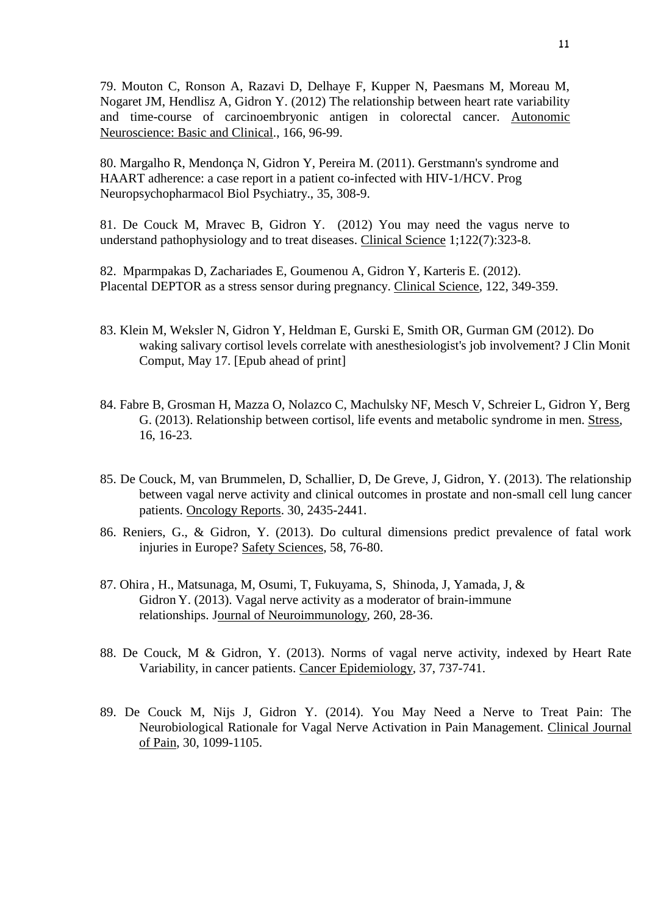79. Mouton C, Ronson A, Razavi D, Delhaye F, Kupper N, Paesmans M, Moreau M, Nogaret JM, Hendlisz A, Gidron Y. (2012) The relationship between heart rate variability and time-course of carcinoembryonic antigen in colorectal cancer. Autonomic Neuroscience: Basic and Clinical., 166, 96-99.

80. Margalho R, Mendonça N, Gidron Y, Pereira M. (2011). Gerstmann's syndrome and HAART adherence: a case report in a patient co-infected with HIV-1/HCV. Prog Neuropsychopharmacol Biol Psychiatry., 35, 308-9.

81. De Couck M, Mravec B, Gidron Y. (2012) You may need the vagus nerve to understand pathophysiology and to treat diseases. Clinical Science 1;122(7):323-8.

82. [Mparmpakas D,](http://www.ncbi.nlm.nih.gov/pubmed?term=%22Mparmpakas%20D%22%5BAuthor%5D) [Zachariades E,](http://www.ncbi.nlm.nih.gov/pubmed?term=%22Zachariades%20E%22%5BAuthor%5D) [Goumenou A,](http://www.ncbi.nlm.nih.gov/pubmed?term=%22Goumenou%20A%22%5BAuthor%5D) [Gidron](http://www.ncbi.nlm.nih.gov/pubmed?term=%22Gidron%20Y%22%5BAuthor%5D) Y, [Karteris](http://www.ncbi.nlm.nih.gov/pubmed?term=%22Karteris%20E%22%5BAuthor%5D) E. (2012). Placental DEPTOR as a stress sensor during pregnancy. Clinical Science, 122, 349-359.

- 83. Klein M, Weksler N, Gidron Y, Heldman E, Gurski E, Smith OR, Gurman GM (2012). Do waking salivary cortisol levels correlate with anesthesiologist's job involvement? J Clin Monit Comput, May 17. [Epub ahead of print]
- 84. Fabre B, Grosman H, Mazza O, Nolazco C, Machulsky NF, Mesch V, Schreier L, Gidron Y, Berg G. (2013). Relationship between cortisol, life events and metabolic syndrome in men. Stress, 16, 16-23.
- 85. De Couck, M, van Brummelen, D, Schallier, D, De Greve, J, Gidron, Y. (2013). The relationship between vagal nerve activity and clinical outcomes in prostate and non-small cell lung cancer patients. Oncology Reports. 30, 2435-2441.
- 86. Reniers, G., & Gidron, Y. (2013). Do cultural dimensions predict prevalence of fatal work injuries in Europe? Safety Sciences, 58, 76-80.
- 87. Ohira , H., Matsunaga, M, Osumi, T, Fukuyama, S, Shinoda, J, Yamada, J, & Gidron Y. (2013). Vagal nerve activity as a moderator of brain-immune relationships. Journal of Neuroimmunology, 260, 28-36.
- 88. De Couck, M & Gidron, Y. (2013). Norms of vagal nerve activity, indexed by Heart Rate Variability, in cancer patients. Cancer Epidemiology, 37, 737-741.
- 89. De Couck M, Nijs J, Gidron Y. (2014). You May Need a Nerve to Treat Pain: The Neurobiological Rationale for Vagal Nerve Activation in Pain Management. Clinical Journal of Pain, 30, 1099-1105.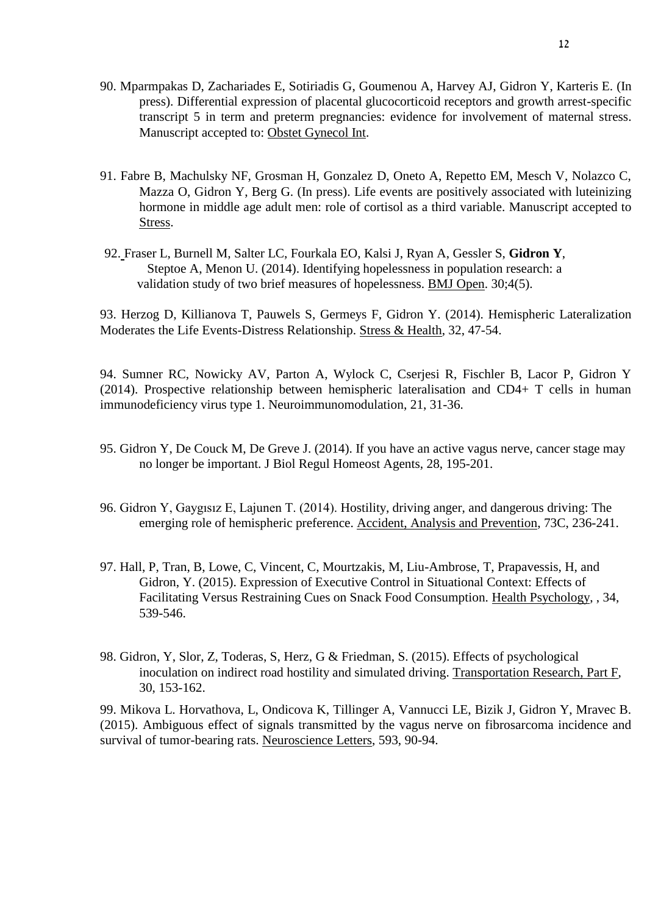- 90. Mparmpakas D, Zachariades E, Sotiriadis G, Goumenou A, Harvey AJ, Gidron Y, Karteris E. (In press). Differential expression of placental glucocorticoid receptors and growth arrest-specific transcript 5 in term and preterm pregnancies: evidence for involvement of maternal stress. Manuscript accepted to: Obstet Gynecol Int.
- 91. Fabre B, Machulsky NF, Grosman H, Gonzalez D, Oneto A, Repetto EM, Mesch V, Nolazco C, Mazza O, Gidron Y, Berg G. (In press). Life events are positively associated with luteinizing hormone in middle age adult men: role of cortisol as a third variable. Manuscript accepted to Stress.
- 92. Fraser L, Burnell M, Salter LC, Fourkala EO, Kalsi J, Ryan A, Gessler S, **Gidron Y**, Steptoe A, Menon U. (2014). Identifying hopelessness in population research: a validation study of two brief measures of hopelessness. BMJ Open. 30;4(5).

93. Herzog D, Killianova T, Pauwels S, Germeys F, Gidron Y. (2014). Hemispheric Lateralization Moderates the Life Events-Distress Relationship. Stress & Health, 32, 47-54.

94. Sumner RC, Nowicky AV, Parton A, Wylock C, Cserjesi R, Fischler B, Lacor P, Gidron Y (2014). Prospective relationship between hemispheric lateralisation and CD4+ T cells in human immunodeficiency virus type 1. Neuroimmunomodulation, 21, 31-36.

- 95. Gidron Y, De Couck M, De Greve J. (2014). If you have an active vagus nerve, cancer stage may no longer be important. J Biol Regul Homeost Agents, 28, 195-201.
- 96. Gidron Y, Gaygısız E, Lajunen T. (2014). Hostility, driving anger, and dangerous driving: The emerging role of hemispheric preference. Accident, Analysis and Prevention, 73C, 236-241.
- 97. Hall, P, Tran, B, Lowe, C, Vincent, C, Mourtzakis, M, Liu-Ambrose, T, Prapavessis, H, and Gidron, Y. (2015). Expression of Executive Control in Situational Context: Effects of Facilitating Versus Restraining Cues on Snack Food Consumption. Health Psychology, , 34, 539-546.
- 98. Gidron, Y, Slor, Z, Toderas, S, Herz, G & Friedman, S. (2015). Effects of psychological inoculation on indirect road hostility and simulated driving. Transportation Research, Part F, 30, 153-162.

99. Mikova L. Horvathova, L, Ondicova K, Tillinger A, Vannucci LE, Bizik J, Gidron Y, Mravec B. (2015). Ambiguous effect of signals transmitted by the vagus nerve on fibrosarcoma incidence and survival of tumor-bearing rats. Neuroscience Letters, 593, 90-94.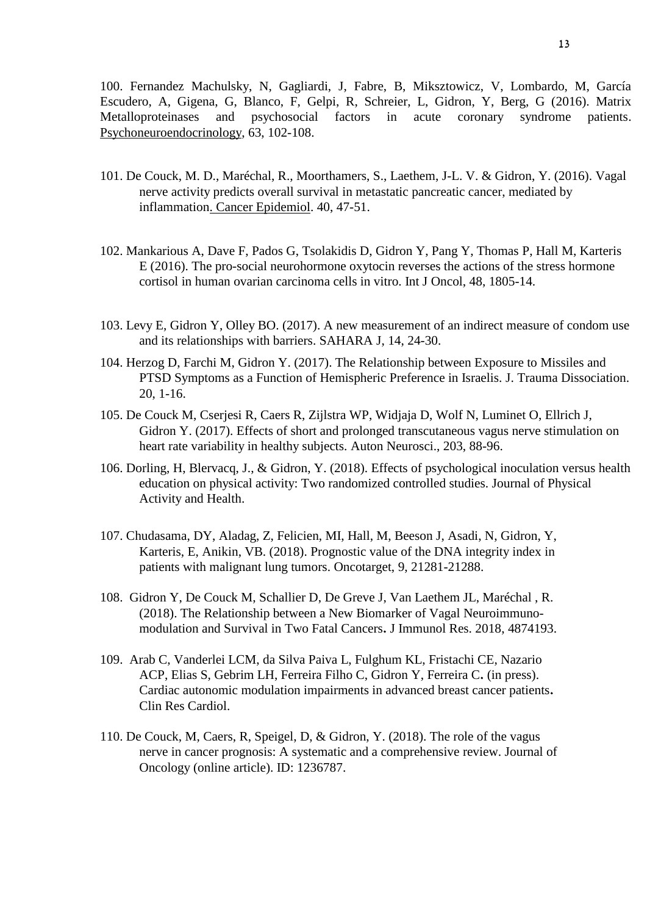100. Fernandez Machulsky, N, Gagliardi, J, Fabre, B, Miksztowicz, V, Lombardo, M, García Escudero, A, Gigena, G, Blanco, F, Gelpi, R, Schreier, L, Gidron, Y, Berg, G (2016). Matrix Metalloproteinases and psychosocial factors in acute coronary syndrome patients. Psychoneuroendocrinology, 63, 102-108.

- 101. De Couck, M. D., Maréchal, R., Moorthamers, S., Laethem, J-L. V. & Gidron, Y. (2016). Vagal nerve activity predicts overall survival in metastatic pancreatic cancer, mediated by inflammation. Cancer Epidemiol. 40, 47-51.
- 102. Mankarious A, Dave F, Pados G, Tsolakidis D, Gidron Y, Pang Y, Thomas P, Hall M, Karteris E (2016). The pro-social neurohormone oxytocin reverses the actions of the stress hormone cortisol in human ovarian carcinoma cells in vitro. Int J Oncol, 48, 1805-14.
- 103. Levy E, Gidron Y, Olley BO. (2017). A new measurement of an indirect measure of condom use and its relationships with barriers. SAHARA J, 14, 24-30.
- 104. Herzog D, Farchi M, Gidron Y. (2017). The Relationship between Exposure to Missiles and PTSD Symptoms as a Function of Hemispheric Preference in Israelis. J. Trauma Dissociation. 20, 1-16.
- 105. De Couck M, Cserjesi R, Caers R, Zijlstra WP, Widjaja D, Wolf N, Luminet O, Ellrich J, Gidron Y. (2017). Effects of short and prolonged transcutaneous vagus nerve stimulation on heart rate variability in healthy subjects. Auton Neurosci., 203, 88-96.
- 106. Dorling, H, Blervacq, J., & Gidron, Y. (2018). Effects of psychological inoculation versus health education on physical activity: Two randomized controlled studies. Journal of Physical Activity and Health.
- 107. Chudasama, DY, Aladag, Z, Felicien, MI, Hall, M, Beeson J, Asadi, N, Gidron, Y, Karteris, E, Anikin, VB. (2018). Prognostic value of the DNA integrity index in patients with malignant lung tumors. Oncotarget, 9, 21281-21288.
- 108. Gidron Y, De Couck M, Schallier D, De Greve J, Van Laethem JL, Maréchal , R. (2018). The Relationship between a New Biomarker of Vagal Neuroimmunomodulation and Survival in Two Fatal Cancers**.** J Immunol Res. 2018, 4874193.
- 109. Arab C, Vanderlei LCM, da Silva Paiva L, Fulghum KL, Fristachi CE, Nazario ACP, Elias S, Gebrim LH, Ferreira Filho C, Gidron Y, Ferreira C**.** (in press). Cardiac autonomic modulation impairments in advanced breast cancer patients**.** Clin Res Cardiol.
- 110. De Couck, M, Caers, R, Speigel, D, & Gidron, Y. (2018). The role of the vagus nerve in cancer prognosis: A systematic and a comprehensive review. Journal of Oncology (online article). ID: 1236787.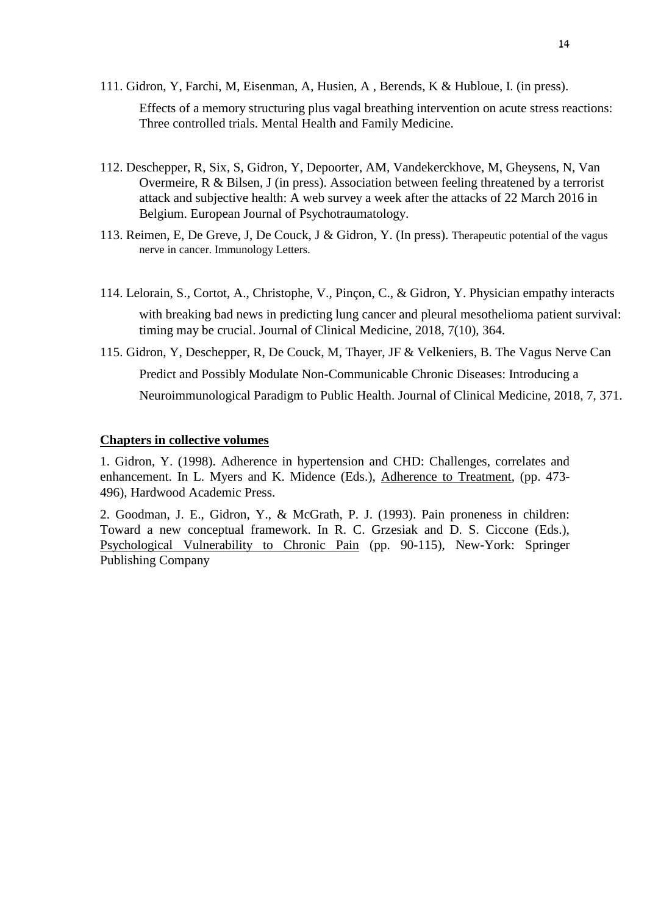111. Gidron, Y, Farchi, M, Eisenman, A, Husien, A , Berends, K & Hubloue, I. (in press).

Effects of a memory structuring plus vagal breathing intervention on acute stress reactions: Three controlled trials. Mental Health and Family Medicine.

- 112. Deschepper, R, Six, S, Gidron, Y, Depoorter, AM, Vandekerckhove, M, Gheysens, N, Van Overmeire, R & Bilsen, J (in press). Association between feeling threatened by a terrorist attack and subjective health: A web survey a week after the attacks of 22 March 2016 in Belgium. European Journal of Psychotraumatology.
- 113. Reimen, E, De Greve, J, De Couck, J & Gidron, Y. (In press). Therapeutic potential of the vagus nerve in cancer. Immunology Letters.
- 114. Lelorain, S., Cortot, A., Christophe, V., Pinçon, C., & Gidron, Y. Physician empathy interacts with breaking bad news in predicting lung cancer and pleural mesothelioma patient survival: timing may be crucial. Journal of Clinical Medicine, 2018, 7(10), 364.
- 115. Gidron, Y, Deschepper, R, De Couck, M, Thayer, JF & Velkeniers, B. The Vagus Nerve Can Predict and Possibly Modulate Non-Communicable Chronic Diseases: Introducing a Neuroimmunological Paradigm to Public Health. Journal of Clinical Medicine, 2018, 7, 371.

#### **Chapters in collective volumes**

1. Gidron, Y. (1998). Adherence in hypertension and CHD: Challenges, correlates and enhancement. In L. Myers and K. Midence (Eds.), Adherence to Treatment, (pp. 473- 496), Hardwood Academic Press.

2. Goodman, J. E., Gidron, Y., & McGrath, P. J. (1993). Pain proneness in children: Toward a new conceptual framework. In R. C. Grzesiak and D. S. Ciccone (Eds.), Psychological Vulnerability to Chronic Pain (pp. 90-115), New-York: Springer Publishing Company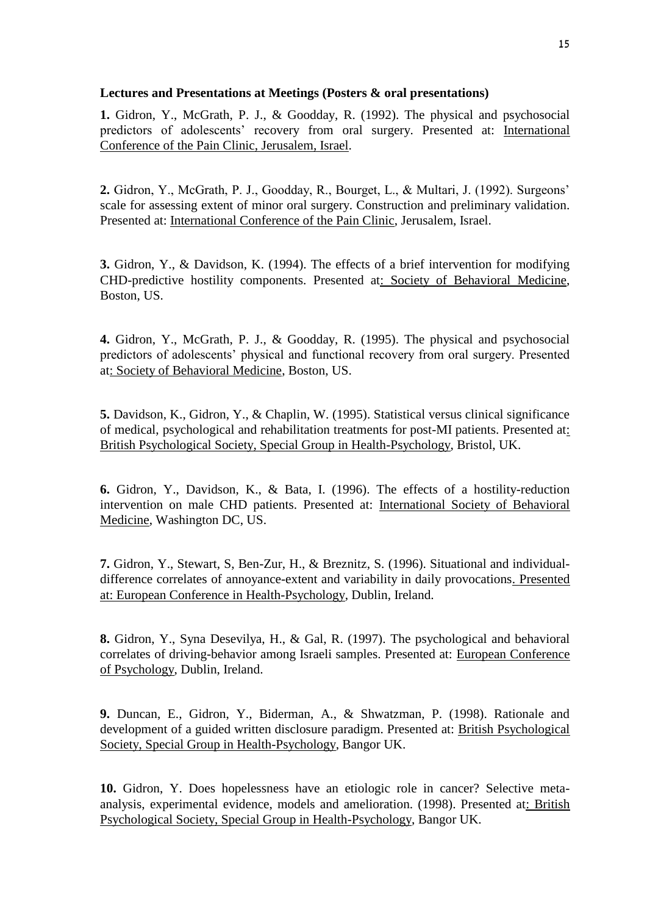## **Lectures and Presentations at Meetings (Posters & oral presentations)**

**1.** Gidron, Y., McGrath, P. J., & Goodday, R. (1992). The physical and psychosocial predictors of adolescents' recovery from oral surgery. Presented at: International Conference of the Pain Clinic, Jerusalem, Israel.

**2.** Gidron, Y., McGrath, P. J., Goodday, R., Bourget, L., & Multari, J. (1992). Surgeons' scale for assessing extent of minor oral surgery. Construction and preliminary validation. Presented at: International Conference of the Pain Clinic, Jerusalem, Israel.

**3.** Gidron, Y., & Davidson, K. (1994). The effects of a brief intervention for modifying CHD-predictive hostility components. Presented at: Society of Behavioral Medicine, Boston, US.

**4.** Gidron, Y., McGrath, P. J., & Goodday, R. (1995). The physical and psychosocial predictors of adolescents' physical and functional recovery from oral surgery. Presented at: Society of Behavioral Medicine, Boston, US.

**5.** Davidson, K., Gidron, Y., & Chaplin, W. (1995). Statistical versus clinical significance of medical, psychological and rehabilitation treatments for post-MI patients. Presented at: British Psychological Society, Special Group in Health-Psychology, Bristol, UK.

**6.** Gidron, Y., Davidson, K., & Bata, I. (1996). The effects of a hostility-reduction intervention on male CHD patients. Presented at: International Society of Behavioral Medicine, Washington DC, US.

**7.** Gidron, Y., Stewart, S, Ben-Zur, H., & Breznitz, S. (1996). Situational and individualdifference correlates of annoyance-extent and variability in daily provocations. Presented at: European Conference in Health-Psychology, Dublin, Ireland.

**8.** Gidron, Y., Syna Desevilya, H., & Gal, R. (1997). The psychological and behavioral correlates of driving-behavior among Israeli samples. Presented at: European Conference of Psychology, Dublin, Ireland.

**9.** Duncan, E., Gidron, Y., Biderman, A., & Shwatzman, P. (1998). Rationale and development of a guided written disclosure paradigm. Presented at: British Psychological Society, Special Group in Health-Psychology, Bangor UK.

**10.** Gidron, Y. Does hopelessness have an etiologic role in cancer? Selective metaanalysis, experimental evidence, models and amelioration. (1998). Presented at: British Psychological Society, Special Group in Health-Psychology, Bangor UK.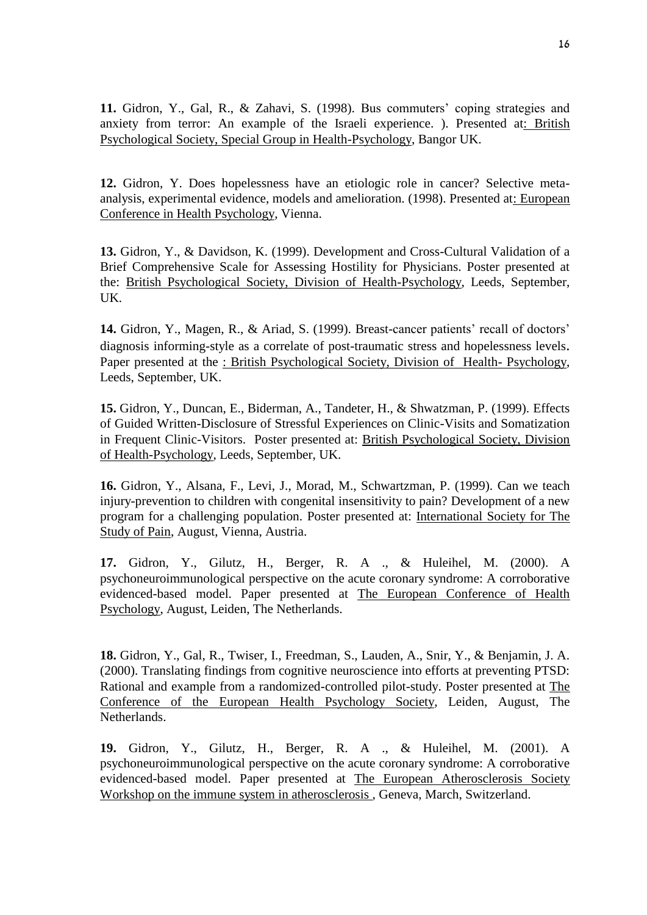**11.** Gidron, Y., Gal, R., & Zahavi, S. (1998). Bus commuters' coping strategies and anxiety from terror: An example of the Israeli experience. ). Presented at: British Psychological Society, Special Group in Health-Psychology, Bangor UK.

**12.** Gidron, Y. Does hopelessness have an etiologic role in cancer? Selective metaanalysis, experimental evidence, models and amelioration. (1998). Presented at: European Conference in Health Psychology, Vienna.

**13.** Gidron, Y., & Davidson, K. (1999). Development and Cross-Cultural Validation of a Brief Comprehensive Scale for Assessing Hostility for Physicians. Poster presented at the: British Psychological Society, Division of Health-Psychology, Leeds, September, UK.

**14.** Gidron, Y., Magen, R., & Ariad, S. (1999). Breast-cancer patients' recall of doctors' diagnosis informing-style as a correlate of post-traumatic stress and hopelessness levels. Paper presented at the : British Psychological Society, Division of Health- Psychology, Leeds, September, UK.

**15.** Gidron, Y., Duncan, E., Biderman, A., Tandeter, H., & Shwatzman, P. (1999). Effects of Guided Written-Disclosure of Stressful Experiences on Clinic-Visits and Somatization in Frequent Clinic-Visitors. Poster presented at: British Psychological Society, Division of Health-Psychology, Leeds, September, UK.

**16.** Gidron, Y., Alsana, F., Levi, J., Morad, M., Schwartzman, P. (1999). Can we teach injury-prevention to children with congenital insensitivity to pain? Development of a new program for a challenging population. Poster presented at: International Society for The Study of Pain, August, Vienna, Austria.

**17.** Gidron, Y., Gilutz, H., Berger, R. A ., & Huleihel, M. (2000). A psychoneuroimmunological perspective on the acute coronary syndrome: A corroborative evidenced-based model. Paper presented at The European Conference of Health Psychology, August, Leiden, The Netherlands.

**18.** Gidron, Y., Gal, R., Twiser, I., Freedman, S., Lauden, A., Snir, Y., & Benjamin, J. A. (2000). Translating findings from cognitive neuroscience into efforts at preventing PTSD: Rational and example from a randomized-controlled pilot-study. Poster presented at The Conference of the European Health Psychology Society, Leiden, August, The Netherlands.

**19.** Gidron, Y., Gilutz, H., Berger, R. A ., & Huleihel, M. (2001). A psychoneuroimmunological perspective on the acute coronary syndrome: A corroborative evidenced-based model. Paper presented at The European Atherosclerosis Society Workshop on the immune system in atherosclerosis , Geneva, March, Switzerland.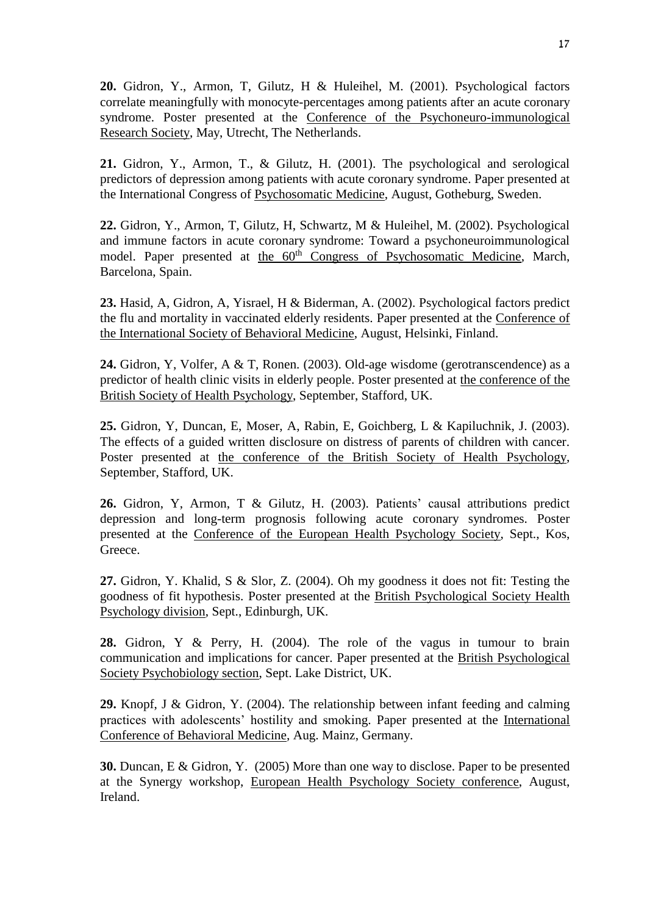**20.** Gidron, Y., Armon, T, Gilutz, H & Huleihel, M. (2001). Psychological factors correlate meaningfully with monocyte-percentages among patients after an acute coronary syndrome. Poster presented at the Conference of the Psychoneuro-immunological Research Society, May, Utrecht, The Netherlands.

**21.** Gidron, Y., Armon, T., & Gilutz, H. (2001). The psychological and serological predictors of depression among patients with acute coronary syndrome. Paper presented at the International Congress of Psychosomatic Medicine, August, Gotheburg, Sweden.

**22.** Gidron, Y., Armon, T, Gilutz, H, Schwartz, M & Huleihel, M. (2002). Psychological and immune factors in acute coronary syndrome: Toward a psychoneuroimmunological model. Paper presented at the 60<sup>th</sup> Congress of Psychosomatic Medicine, March, Barcelona, Spain.

**23.** Hasid, A, Gidron, A, Yisrael, H & Biderman, A. (2002). Psychological factors predict the flu and mortality in vaccinated elderly residents. Paper presented at the Conference of the International Society of Behavioral Medicine, August, Helsinki, Finland.

**24.** Gidron, Y, Volfer, A & T, Ronen. (2003). Old-age wisdome (gerotranscendence) as a predictor of health clinic visits in elderly people. Poster presented at the conference of the British Society of Health Psychology, September, Stafford, UK.

**25.** Gidron, Y, Duncan, E, Moser, A, Rabin, E, Goichberg, L & Kapiluchnik, J. (2003). The effects of a guided written disclosure on distress of parents of children with cancer. Poster presented at the conference of the British Society of Health Psychology, September, Stafford, UK.

**26.** Gidron, Y, Armon, T & Gilutz, H. (2003). Patients' causal attributions predict depression and long-term prognosis following acute coronary syndromes. Poster presented at the Conference of the European Health Psychology Society, Sept., Kos, Greece.

**27.** Gidron, Y. Khalid, S & Slor, Z. (2004). Oh my goodness it does not fit: Testing the goodness of fit hypothesis. Poster presented at the British Psychological Society Health Psychology division, Sept., Edinburgh, UK.

**28.** Gidron, Y & Perry, H. (2004). The role of the vagus in tumour to brain communication and implications for cancer. Paper presented at the British Psychological Society Psychobiology section, Sept. Lake District, UK.

**29.** Knopf, J & Gidron, Y. (2004). The relationship between infant feeding and calming practices with adolescents' hostility and smoking. Paper presented at the International Conference of Behavioral Medicine, Aug. Mainz, Germany.

**30.** Duncan, E & Gidron, Y. (2005) More than one way to disclose. Paper to be presented at the Synergy workshop, European Health Psychology Society conference, August, Ireland.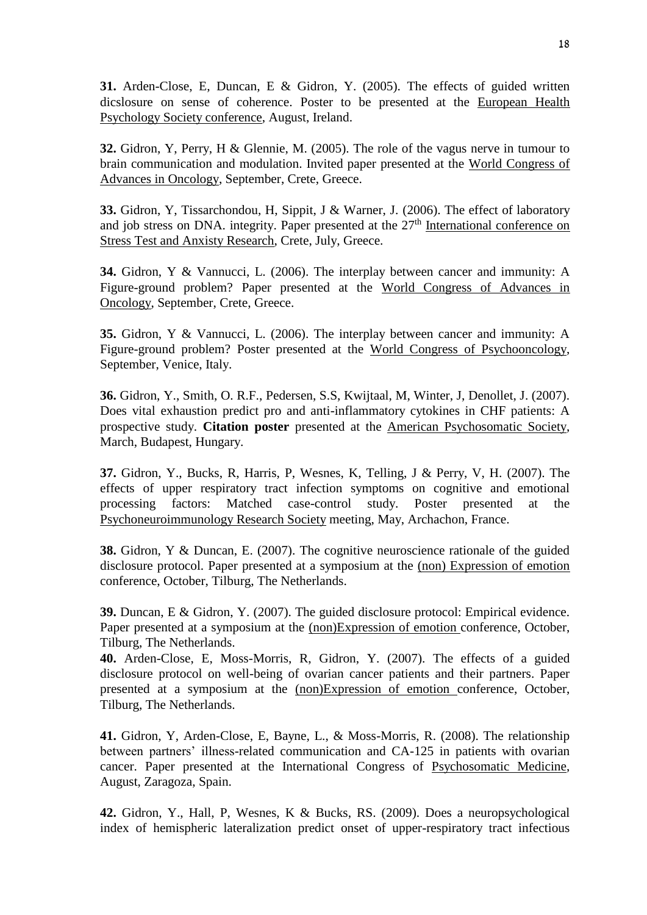**31.** Arden-Close, E, Duncan, E & Gidron, Y. (2005). The effects of guided written dicslosure on sense of coherence. Poster to be presented at the European Health Psychology Society conference, August, Ireland.

**32.** Gidron, Y, Perry, H & Glennie, M. (2005). The role of the vagus nerve in tumour to brain communication and modulation. Invited paper presented at the World Congress of Advances in Oncology, September, Crete, Greece.

**33.** Gidron, Y, Tissarchondou, H, Sippit, J & Warner, J. (2006). The effect of laboratory and job stress on DNA. integrity. Paper presented at the 27<sup>th</sup> International conference on Stress Test and Anxisty Research, Crete, July, Greece.

**34.** Gidron, Y & Vannucci, L. (2006). The interplay between cancer and immunity: A Figure-ground problem? Paper presented at the World Congress of Advances in Oncology, September, Crete, Greece.

**35.** Gidron, Y & Vannucci, L. (2006). The interplay between cancer and immunity: A Figure-ground problem? Poster presented at the World Congress of Psychooncology, September, Venice, Italy.

**36.** Gidron, Y., Smith, O. R.F., Pedersen, S.S, Kwijtaal, M, Winter, J, Denollet, J. (2007). Does vital exhaustion predict pro and anti-inflammatory cytokines in CHF patients: A prospective study. **Citation poster** presented at the American Psychosomatic Society, March, Budapest, Hungary.

**37.** Gidron, Y., Bucks, R, Harris, P, Wesnes, K, Telling, J & Perry, V, H. (2007). The effects of upper respiratory tract infection symptoms on cognitive and emotional processing factors: Matched case-control study. Poster presented at the Psychoneuroimmunology Research Society meeting, May, Archachon, France.

**38.** Gidron, Y & Duncan, E. (2007). The cognitive neuroscience rationale of the guided disclosure protocol. Paper presented at a symposium at the (non) Expression of emotion conference, October, Tilburg, The Netherlands.

**39.** Duncan, E & Gidron, Y. (2007). The guided disclosure protocol: Empirical evidence. Paper presented at a symposium at the (non)Expression of emotion conference, October, Tilburg, The Netherlands.

**40.** Arden-Close, E, Moss-Morris, R, Gidron, Y. (2007). The effects of a guided disclosure protocol on well-being of ovarian cancer patients and their partners. Paper presented at a symposium at the (non)Expression of emotion conference, October, Tilburg, The Netherlands.

**41.** Gidron, Y, Arden-Close, E, Bayne, L., & Moss-Morris, R. (2008). The relationship between partners' illness-related communication and CA-125 in patients with ovarian cancer. Paper presented at the International Congress of Psychosomatic Medicine, August, Zaragoza, Spain.

**42.** Gidron, Y., Hall, P, Wesnes, K & Bucks, RS. (2009). Does a neuropsychological index of hemispheric lateralization predict onset of upper-respiratory tract infectious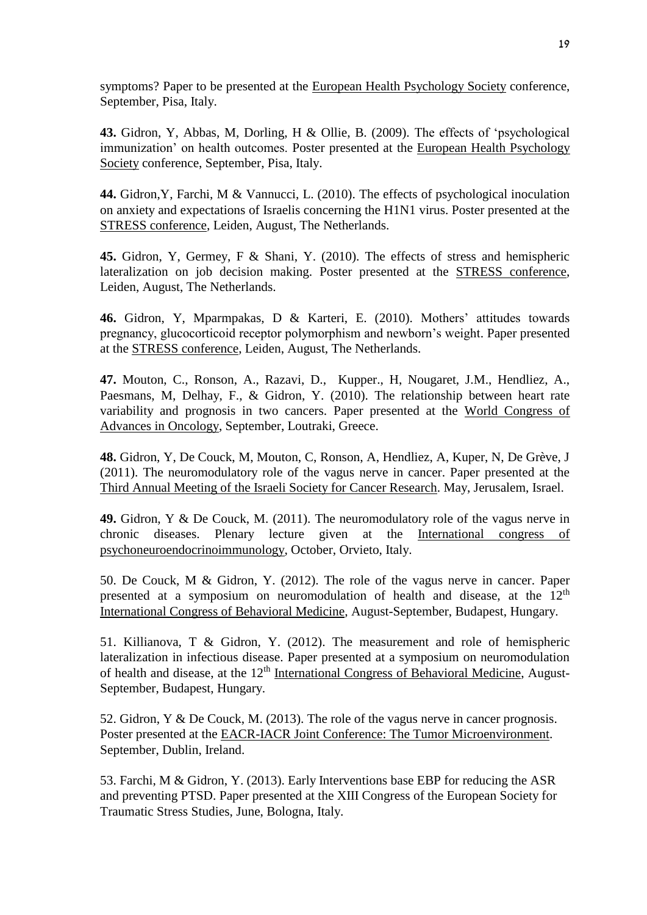symptoms? Paper to be presented at the European Health Psychology Society conference, September, Pisa, Italy.

**43.** Gidron, Y, Abbas, M, Dorling, H & Ollie, B. (2009). The effects of 'psychological immunization' on health outcomes. Poster presented at the European Health Psychology Society conference, September, Pisa, Italy.

**44.** Gidron,Y, Farchi, M & Vannucci, L. (2010). The effects of psychological inoculation on anxiety and expectations of Israelis concerning the H1N1 virus. Poster presented at the STRESS conference, Leiden, August, The Netherlands.

**45.** Gidron, Y, Germey, F & Shani, Y. (2010). The effects of stress and hemispheric lateralization on job decision making. Poster presented at the STRESS conference, Leiden, August, The Netherlands.

**46.** Gidron, Y, Mparmpakas, D & Karteri, E. (2010). [Mothers' attitudes towards](http://www.stress2010.com/abstract/166.asp)  [pregnancy, glucocorticoid receptor polymorphism and newborn's weight.](http://www.stress2010.com/abstract/166.asp) Paper presented at the STRESS conference, Leiden, August, The Netherlands.

**47.** Mouton, C., Ronson, A., Razavi, D., Kupper., H, Nougaret, J.M., Hendliez, A., Paesmans, M, Delhay, F., & Gidron, Y. (2010). The relationship between heart rate variability and prognosis in two cancers. Paper presented at the World Congress of Advances in Oncology, September, Loutraki, Greece.

**48.** Gidron, Y, De Couck, M, Mouton, C, Ronson, A, Hendliez, A, Kuper, N, De Grève, J (2011). The neuromodulatory role of the vagus nerve in cancer. Paper presented at the Third Annual Meeting of the Israeli Society for Cancer Research. May, Jerusalem, Israel.

**49.** Gidron, Y & De Couck, M. (2011). The neuromodulatory role of the vagus nerve in chronic diseases. Plenary lecture given at the International congress of psychoneuroendocrinoimmunology, October, Orvieto, Italy.

50. De Couck, M & Gidron, Y. (2012). The role of the vagus nerve in cancer. Paper presented at a symposium on neuromodulation of health and disease, at the 12<sup>th</sup> International Congress of Behavioral Medicine, August-September, Budapest, Hungary.

51. Killianova, T & Gidron, Y. (2012). The measurement and role of hemispheric lateralization in infectious disease. Paper presented at a symposium on neuromodulation of health and disease, at the  $12<sup>th</sup>$  International Congress of Behavioral Medicine, August-September, Budapest, Hungary.

52. Gidron, Y & De Couck, M. (2013). The role of the vagus nerve in cancer prognosis. Poster presented at the EACR-IACR Joint Conference: The Tumor Microenvironment. September, Dublin, Ireland.

53. Farchi, M & Gidron, Y. (2013). Early Interventions base EBP for reducing the ASR and preventing PTSD. Paper presented at the XIII Congress of the European Society for Traumatic Stress Studies, June, Bologna, Italy.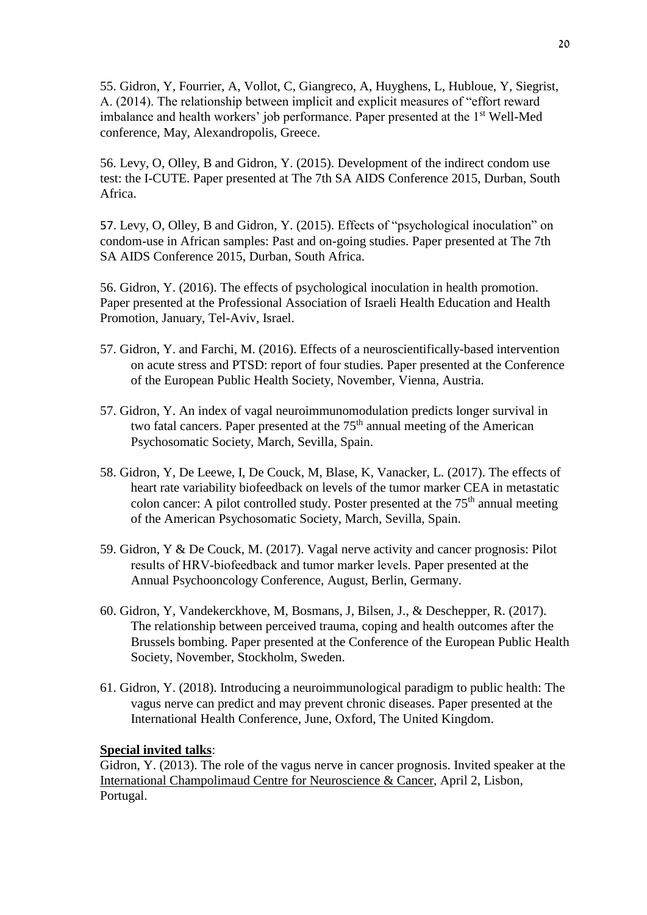55. Gidron, Y, Fourrier, A, Vollot, C, Giangreco, A, Huyghens, L, Hubloue, Y, Siegrist, A. (2014). The relationship between implicit and explicit measures of "effort reward imbalance and health workers' job performance. Paper presented at the 1<sup>st</sup> Well-Med conference, May, Alexandropolis, Greece.

56. Levy, O, Olley, B and Gidron, Y. (2015). Development of the indirect condom use test: the I-CUTE. Paper presented at The 7th SA AIDS Conference 2015, Durban, South Africa.

57. Levy, O, Olley, B and Gidron, Y. (2015). Effects of "psychological inoculation" on condom-use in African samples: Past and on-going studies. Paper presented at The 7th SA AIDS Conference 2015, Durban, South Africa.

56. Gidron, Y. (2016). The effects of psychological inoculation in health promotion. Paper presented at the Professional Association of Israeli Health Education and Health Promotion, January, Tel-Aviv, Israel.

- 57. Gidron, Y. and Farchi, M. (2016). Effects of a neuroscientifically-based intervention on acute stress and PTSD: report of four studies. Paper presented at the Conference of the European Public Health Society, November, Vienna, Austria.
- 57. Gidron, Y. An index of vagal neuroimmunomodulation predicts longer survival in two fatal cancers. Paper presented at the  $75<sup>th</sup>$  annual meeting of the American Psychosomatic Society, March, Sevilla, Spain.
- 58. Gidron, Y, De Leewe, I, De Couck, M, Blase, K, Vanacker, L. (2017). The effects of heart rate variability biofeedback on levels of the tumor marker CEA in metastatic colon cancer: A pilot controlled study. Poster presented at the 75<sup>th</sup> annual meeting of the American Psychosomatic Society, March, Sevilla, Spain.
- 59. Gidron, Y & De Couck, M. (2017). Vagal nerve activity and cancer prognosis: Pilot results of HRV‐biofeedback and tumor marker levels. Paper presented at the Annual Psychooncology Conference, August, Berlin, Germany.
- 60. Gidron, Y, Vandekerckhove, M, Bosmans, J, Bilsen, J., & Deschepper, R. (2017). The relationship between perceived trauma, coping and health outcomes after the Brussels bombing. Paper presented at the Conference of the European Public Health Society, November, Stockholm, Sweden.
- 61. Gidron, Y. (2018). Introducing a neuroimmunological paradigm to public health: The vagus nerve can predict and may prevent chronic diseases. Paper presented at the International Health Conference, June, Oxford, The United Kingdom.

## **Special invited talks**:

Gidron, Y. (2013). The role of the vagus nerve in cancer prognosis. Invited speaker at the International Champolimaud Centre for Neuroscience & Cancer, April 2, Lisbon, Portugal.